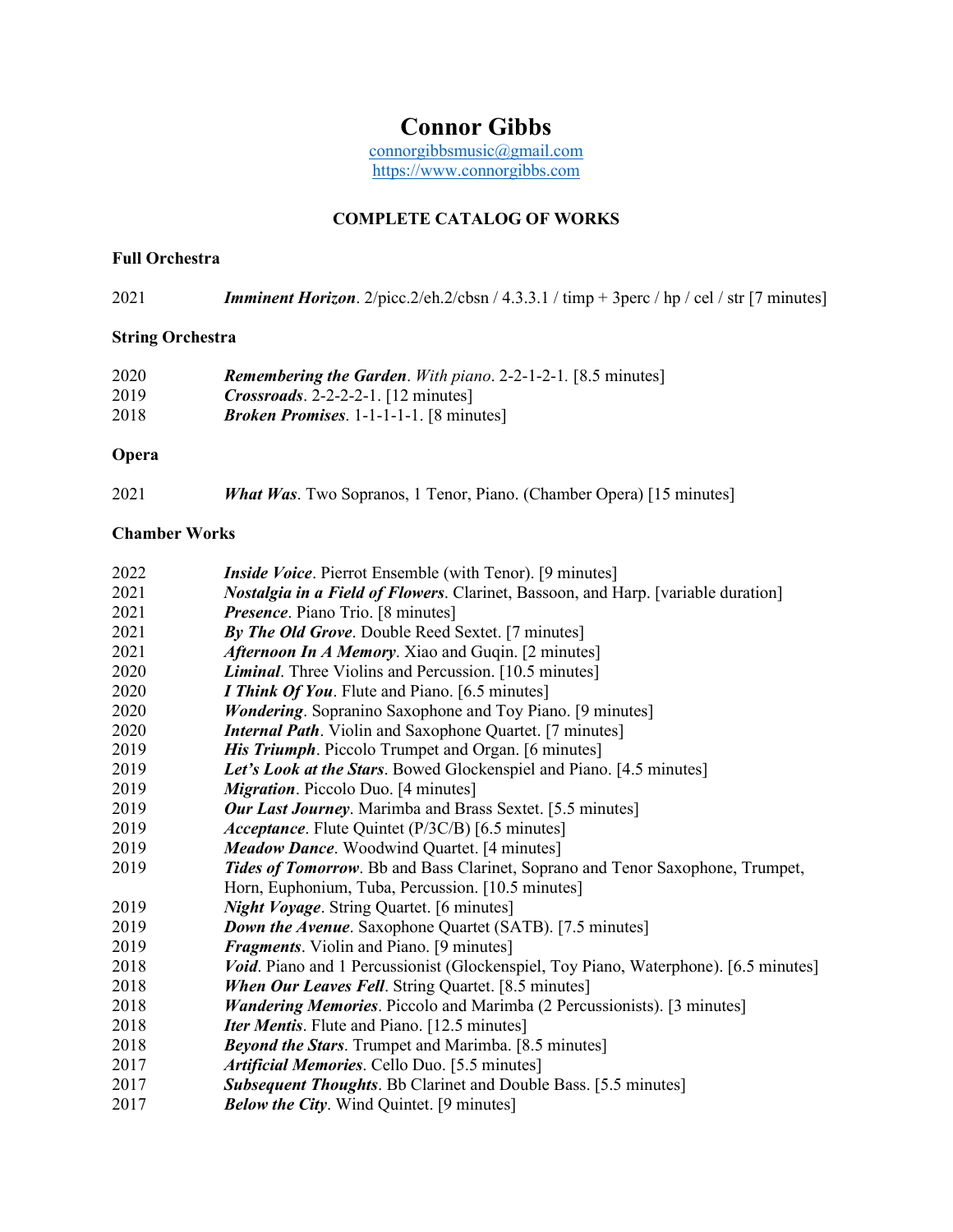# **Connor Gibbs**

[connorgibbsmusic@gmail.com](mailto:connorgibbsmusic@gmail.com) [https://www.connorgibbs.com](https://www.connorgibbs.com/)

### **COMPLETE CATALOG OF WORKS**

#### **Full Orchestra**

| 2021 | <b>Imminent Horizon.</b> 2/picc.2/eh.2/cbsn / 4.3.3.1 / timp + 3perc / hp / cel / str [7 minutes] |  |  |  |  |  |
|------|---------------------------------------------------------------------------------------------------|--|--|--|--|--|
|------|---------------------------------------------------------------------------------------------------|--|--|--|--|--|

## **String Orchestra**

| 2020 | <b>Remembering the Garden.</b> With piano. 2-2-1-2-1. [8.5 minutes] |
|------|---------------------------------------------------------------------|
| 2019 | $Crossroads. 2-2-2-1. [12 minutes]$                                 |
| 2018 | <i>Broken Promises.</i> $1-1-1-1$ . [8 minutes]                     |

#### **Opera**

| 2021 | <b>What Was.</b> Two Sopranos, 1 Tenor, Piano. (Chamber Opera) [15 minutes] |  |  |  |
|------|-----------------------------------------------------------------------------|--|--|--|
|------|-----------------------------------------------------------------------------|--|--|--|

#### **Chamber Works**

| 2022 | <i>Inside Voice</i> . Pierrot Ensemble (with Tenor). [9 minutes]                         |
|------|------------------------------------------------------------------------------------------|
| 2021 | <i>Nostalgia in a Field of Flowers.</i> Clarinet, Bassoon, and Harp. [variable duration] |
| 2021 | <i>Presence</i> . Piano Trio. [8 minutes]                                                |
| 2021 | By The Old Grove. Double Reed Sextet. [7 minutes]                                        |
| 2021 | Afternoon In A Memory. Xiao and Guqin. [2 minutes]                                       |
| 2020 | <b>Liminal.</b> Three Violins and Percussion. [10.5 minutes]                             |
| 2020 | <i>I Think Of You.</i> Flute and Piano. [6.5 minutes]                                    |
| 2020 | <b>Wondering.</b> Sopranino Saxophone and Toy Piano. [9 minutes]                         |
| 2020 | <b>Internal Path.</b> Violin and Saxophone Quartet. [7 minutes]                          |
| 2019 | <b>His Triumph.</b> Piccolo Trumpet and Organ. [6 minutes]                               |
| 2019 | Let's Look at the Stars. Bowed Glockenspiel and Piano. [4.5 minutes]                     |
| 2019 | <i>Migration.</i> Piccolo Duo. [4 minutes]                                               |
| 2019 | <b>Our Last Journey.</b> Marimba and Brass Sextet. [5.5 minutes]                         |
| 2019 | <i>Acceptance</i> . Flute Quintet (P/3C/B) [6.5 minutes]                                 |
| 2019 | <b>Meadow Dance.</b> Woodwind Quartet. [4 minutes]                                       |
| 2019 | Tides of Tomorrow. Bb and Bass Clarinet, Soprano and Tenor Saxophone, Trumpet,           |
|      | Horn, Euphonium, Tuba, Percussion. [10.5 minutes]                                        |
| 2019 | <b>Night Voyage.</b> String Quartet. [6 minutes]                                         |
| 2019 | <b>Down the Avenue.</b> Saxophone Quartet (SATB). [7.5 minutes]                          |
| 2019 | <b>Fragments.</b> Violin and Piano. [9 minutes]                                          |
| 2018 | Void. Piano and 1 Percussionist (Glockenspiel, Toy Piano, Waterphone). [6.5 minutes]     |
| 2018 | <b>When Our Leaves Fell.</b> String Quartet. [8.5 minutes]                               |
| 2018 | <b>Wandering Memories</b> . Piccolo and Marimba (2 Percussionists). [3 minutes]          |
| 2018 | <b>Iter Mentis.</b> Flute and Piano. [12.5 minutes]                                      |
| 2018 | <b>Beyond the Stars.</b> Trumpet and Marimba. [8.5 minutes]                              |
| 2017 | Artificial Memories. Cello Duo. [5.5 minutes]                                            |
| 2017 | <b>Subsequent Thoughts.</b> Bb Clarinet and Double Bass. [5.5 minutes]                   |
| 2017 | <b>Below the City.</b> Wind Quintet. [9 minutes]                                         |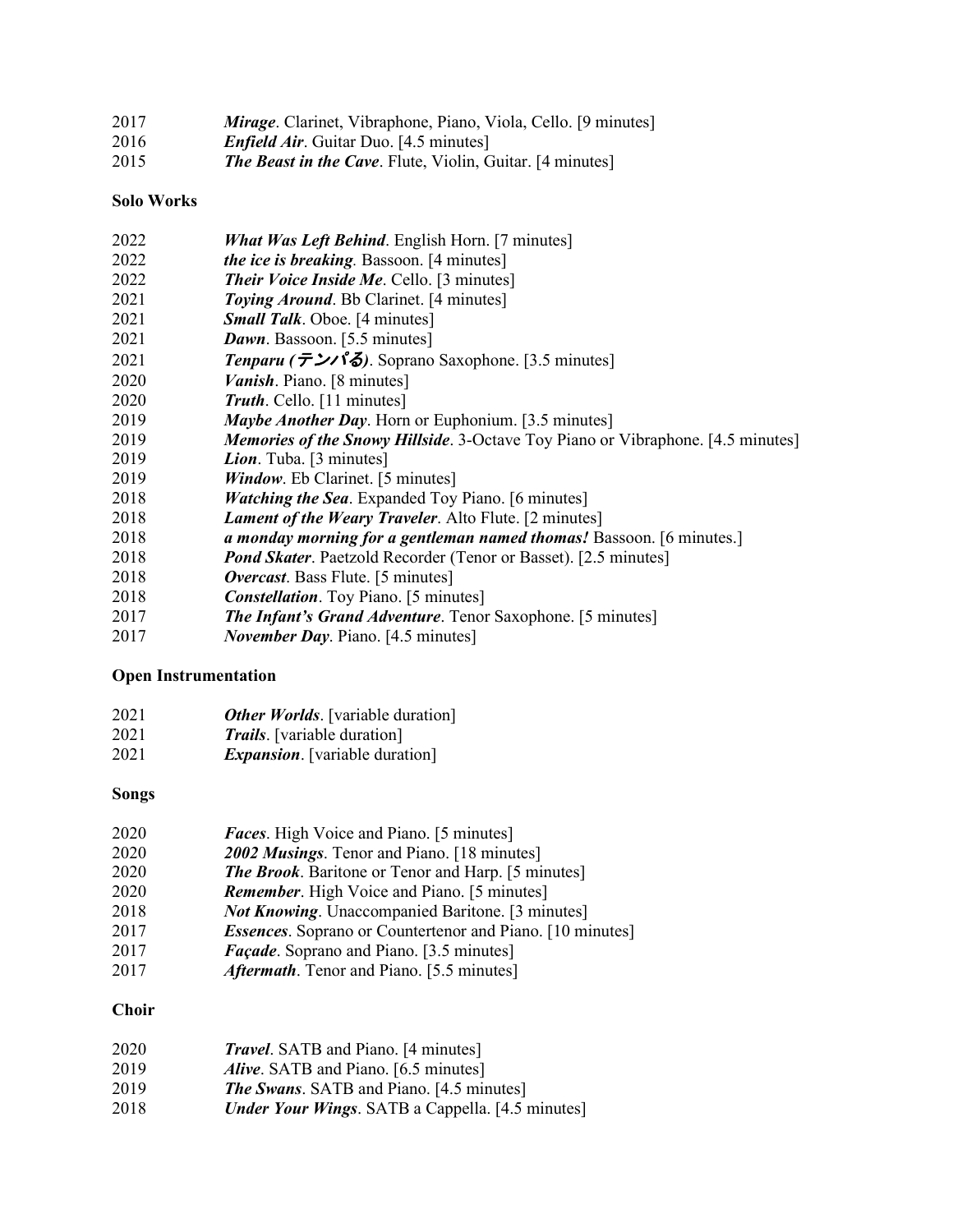| 2017 | <i>Mirage.</i> Clarinet, Vibraphone, Piano, Viola, Cello. [9 minutes] |
|------|-----------------------------------------------------------------------|
| 2016 | <i>Enfield Air.</i> Guitar Duo. [4.5 minutes]                         |
| 2015 | <b>The Beast in the Cave.</b> Flute, Violin, Guitar. [4 minutes]      |

#### **Solo Works**

| <b>What Was Left Behind.</b> English Horn. [7 minutes]                                 |
|----------------------------------------------------------------------------------------|
| <i>the ice is breaking.</i> Bassoon. [4 minutes]                                       |
| <b>Their Voice Inside Me. Cello.</b> [3 minutes]                                       |
| Toying Around. Bb Clarinet. [4 minutes]                                                |
| <b>Small Talk.</b> Oboe. [4 minutes]                                                   |
| <b>Dawn.</b> Bassoon. [5.5 minutes]                                                    |
| Tenparu ( $\bar{\tau}$ ). Soprano Saxophone. [3.5 minutes]                             |
| <i>Vanish.</i> Piano. [8 minutes]                                                      |
| Truth. Cello. [11 minutes]                                                             |
| Maybe Another Day. Horn or Euphonium. [3.5 minutes]                                    |
| <i>Memories of the Snowy Hillside.</i> 3-Octave Toy Piano or Vibraphone. [4.5 minutes] |
| <i>Lion</i> . Tuba. [3 minutes]                                                        |
| <i>Window.</i> Eb Clarinet. [5 minutes]                                                |
| <i>Watching the Sea.</i> Expanded Toy Piano. [6 minutes]                               |
| Lament of the Weary Traveler. Alto Flute. [2 minutes]                                  |
| a monday morning for a gentleman named thomas! Bassoon. [6 minutes.]                   |
| <b>Pond Skater.</b> Paetzold Recorder (Tenor or Basset). [2.5 minutes]                 |
| <i>Overcast</i> . Bass Flute. [5 minutes]                                              |
| <b>Constellation.</b> Toy Piano. [5 minutes]                                           |
| <b>The Infant's Grand Adventure.</b> Tenor Saxophone. [5 minutes]                      |
| <i>November Day. Piano.</i> [4.5 minutes]                                              |
|                                                                                        |

# **Open Instrumentation**

| 2021 | <b>Other Worlds.</b> [variable duration] |
|------|------------------------------------------|
| 2021 | <i>Trails</i> . [variable duration]      |
| 2021 | <i>Expansion</i> . [variable duration]   |

#### **Songs**

| 2020 | <b>Faces.</b> High Voice and Piano. [5 minutes]                  |
|------|------------------------------------------------------------------|
| 2020 | 2002 Musings. Tenor and Piano. [18 minutes]                      |
| 2020 | <b>The Brook.</b> Baritone or Tenor and Harp. [5 minutes]        |
| 2020 | <b>Remember.</b> High Voice and Piano. [5 minutes]               |
| 2018 | <b>Not Knowing.</b> Unaccompanied Baritone. [3 minutes]          |
| 2017 | <b>Essences.</b> Soprano or Countertenor and Piano. [10 minutes] |
| 2017 | <i>Façade</i> . Soprano and Piano. [3.5 minutes]                 |
| 2017 | <i>Aftermath</i> . Tenor and Piano. [5.5 minutes]                |

## **Choir**

| 2020 | <b>Travel.</b> SATB and Piano. [4 minutes]              |
|------|---------------------------------------------------------|
| 2019 | <i>Alive.</i> SATB and Piano. [6.5 minutes]             |
| 2019 | <b>The Swans.</b> SATB and Piano. [4.5 minutes]         |
| 2018 | <b>Under Your Wings.</b> SATB a Cappella. [4.5 minutes] |